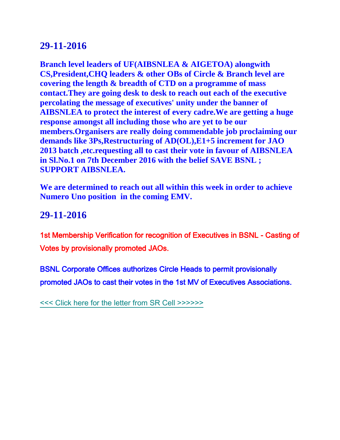# **29-11-2016**

**Branch level leaders of UF(AIBSNLEA & AIGETOA) alongwith CS,President,CHQ leaders & other OBs of Circle & Branch level are covering the length & breadth of CTD on a programme of mass contact.They are going desk to desk to reach out each of the executive percolating the message of executives' unity under the banner of AIBSNLEA to protect the interest of every cadre.We are getting a huge response amongst all including those who are yet to be our members.Organisers are really doing commendable job proclaiming our demands like 3Ps,Restructuring of AD(OL),E1+5 increment for JAO 2013 batch ,etc.requesting all to cast their vote in favour of AIBSNLEA in Sl.No.1 on 7th December 2016 with the belief SAVE BSNL ; SUPPORT AIBSNLEA.**

**We are determined to reach out all within this week in order to achieve Numero Uno position in the coming EMV.**

# **29-11-2016**

1st Membership Verification for recognition of Executives in BSNL - Casting of Votes by provisionally promoted JAOs.

BSNL Corporate Offices authorizes Circle Heads to permit provisionally promoted JAOs to cast their votes in the 1st MV of Executives Associations.

[<<< Click here for the letter from SR Cell >>>>>>](http://www.aibsnleachq.in/1stMV291116.pdf)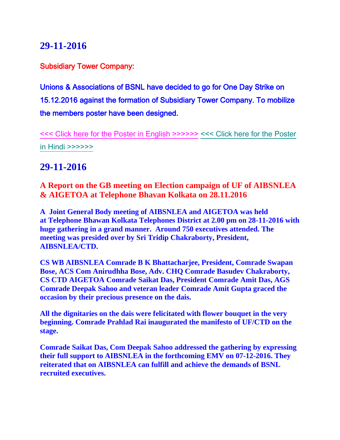# **29-11-2016**

Subsidiary Tower Company:

Unions & Associations of BSNL have decided to go for One Day Strike on 15.12.2016 against the formation of Subsidiary Tower Company. To mobilize the members poster have been designed.

[<<< Click here for the Poster in English >>>>>>](http://www.aibsnleachq.in/STC_poster%20english.jpg) [<<< Click here for the Poster](http://www.aibsnleachq.in/STC_POSTER%20HINDI.jpg)  [in Hindi >>>>>>](http://www.aibsnleachq.in/STC_POSTER%20HINDI.jpg)

## **29-11-2016**

**A Report on the GB meeting on Election campaign of UF of AIBSNLEA & AIGETOA at Telephone Bhavan Kolkata on 28.11.2016**

**A Joint General Body meeting of AIBSNLEA and AIGETOA was held at Telephone Bhawan Kolkata Telephones District at 2.00 pm on 28-11-2016 with huge gathering in a grand manner. Around 750 executives attended. The meeting was presided over by Sri Tridip Chakraborty, President, AIBSNLEA/CTD.**

**CS WB AIBSNLEA Comrade B K Bhattacharjee, President, Comrade Swapan Bose, ACS Com Anirudhha Bose, Adv. CHQ Comrade Basudev Chakraborty, CS CTD AIGETOA Comrade Saikat Das, President Comrade Amit Das, AGS Comrade Deepak Sahoo and veteran leader Comrade Amit Gupta graced the occasion by their precious presence on the dais.**

**All the dignitaries on the dais were felicitated with flower bouquet in the very beginning. Comrade Prahlad Rai inaugurated the manifesto of UF/CTD on the stage.**

**Comrade Saikat Das, Com Deepak Sahoo addressed the gathering by expressing their full support to AIBSNLEA in the forthcoming EMV on 07-12-2016. They reiterated that on AIBSNLEA can fulfill and achieve the demands of BSNL recruited executives.**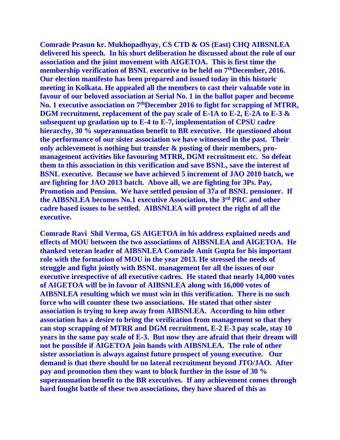**Comrade Prasun kr. Mukhopadhyay, CS CTD & OS (East) CHQ AIBSNLEA delivered his speech. In his short deliberation he discussed about the role of our association and the joint movement with AIGETOA. This is first time the membership verification of BSNL executive to be held on 7thDecember, 2016. Our election manifesto has been prepared and issued today in this historic meeting in Kolkata. He appealed all the members to cast their valuable vote in favour of our beloved association at Serial No. 1 in the ballot paper and become No. 1 executive association on 7thDecember 2016 to fight for scrapping of MTRR, DGM recruitment, replacement of the pay scale of E-1A to E-2, E-2A to E-3 & subsequent up gradation up to E-4 to E-7, implementation of CPSU cadre hierarchy, 30 % superannuation benefit to BR executive. He questioned about the performance of our sister association we have witnessed in the past. Their only achievement is nothing but transfer & posting of their members, promanagement activities like favouring MTRR, DGM recruitment etc. So defeat them to this association in this verification and save BSNL, save the interest of BSNL executive. Because we have achieved 5 increment of JAO 2010 batch, we are fighting for JAO 2013 batch. Above all, we are fighting for 3Ps. Pay, Promotion and Pension. We have settled pension of 37a of BSNL pensioner. If the AIBSNLEA becomes No.1 executive Association, the 3rd PRC and other cadre based issues to be settled. AIBSNLEA will protect the right of all the executive.**

**Comrade Ravi Shil Verma, GS AIGETOA in his address explained needs and effects of MOU between the two associations of AIBSNLEA and AIGETOA. He thanked veteran leader of AIBSNLEA Comrade Amit Gupta for his important role with the formation of MOU in the year 2013. He stressed the needs of struggle and fight jointly with BSNL management for all the issues of our executive irrespective of all executive cadres. He stated that nearly 14,000 votes of AIGETOA will be in favour of AIBSNLEA along with 16,000 votes of AIBSNLEA resulting which we must win in this verification. There is no such force who will counter these two associations. He stated that other sister association is trying to keep away from AIBSNLEA. According to him other association has a desire to bring the verification from management so that they can stop scrapping of MTRR and DGM recruitment, E-2 E-3 pay scale, stay 10 years in the same pay scale of E-3. But now they are afraid that their dream will not be possible if AIGETOA join hands with AIBSNLEA. The role of other sister association is always against future prospect of young executive. Our demand is that there should be no lateral recruitment beyond JTO/JAO. After pay and promotion then they want to block further in the issue of 30 % superannuation benefit to the BR executives. If any achievement comes through hard fought battle of these two associations, they have shared of this as**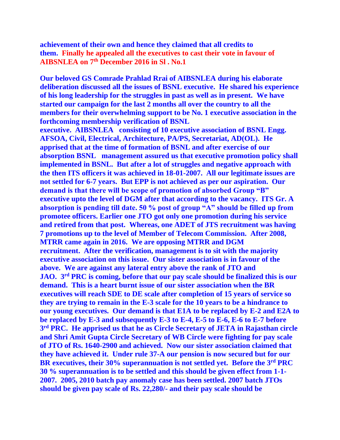**achievement of their own and hence they claimed that all credits to them. Finally he appealed all the executives to cast their vote in favour of AIBSNLEA on 7th December 2016 in Sl . No.1**

**Our beloved GS Comrade Prahlad Rrai of AIBSNLEA during his elaborate deliberation discussed all the issues of BSNL executive. He shared his experience of his long leadership for the struggles in past as well as in present. We have started our campaign for the last 2 months all over the country to all the members for their overwhelming support to be No. 1 executive association in the forthcoming membership verification of BSNL** 

**executive. AIBSNLEA consisting of 10 executive association of BSNL Engg. AFSOA, Civil, Electrical, Architecture, PA/PS, Secretariat, AD(OL). He apprised that at the time of formation of BSNL and after exercise of our absorption BSNL management assured us that executive promotion policy shall implemented in BSNL. But after a lot of struggles and negative approach with the then ITS officers it was achieved in 18-01-2007. All our legitimate issues are not settled for 6-7 years. But EPP is not achieved as per our aspiration. Our demand is that there will be scope of promotion of absorbed Group "B" executive upto the level of DGM after that according to the vacancy. ITS Gr. A absorption is pending till date. 50 % post of group "A" should be filled up from promotee officers. Earlier one JTO got only one promotion during his service and retired from that post. Whereas, one ADET of JTS recruitment was having 7 promotions up to the level of Member of Telecom Commission. After 2008, MTRR came again in 2016. We are opposing MTRR and DGM recruitment. After the verification, management is to sit with the majority executive association on this issue. Our sister association is in favour of the above. We are against any lateral entry above the rank of JTO and JAO. 3 rd PRC is coming, before that our pay scale should be finalized this is our demand. This is a heart burnt issue of our sister association when the BR executives will reach SDE to DE scale after completion of 15 years of service so they are trying to remain in the E-3 scale for the 10 years to be a hindrance to our young executives. Our demand is that E1A to be replaced by E-2 and E2A to be replaced by E-3 and subsequently E-3 to E-4, E-5 to E-6, E-6 to E-7 before 3 rd PRC. He apprised us that he as Circle Secretary of JETA in Rajasthan circle and Shri Amit Gupta Circle Secretary of WB Circle were fighting for pay scale of JTO of Rs. 1640-2900 and achieved. Now our sister association claimed that they have achieved it. Under rule 37-A our pension is now secured but for our BR executives, their 30% superannuation is not settled yet. Before the 3rd PRC 30 % superannuation is to be settled and this should be given effect from 1-1- 2007. 2005, 2010 batch pay anomaly case has been settled. 2007 batch JTOs should be given pay scale of Rs. 22,280/- and their pay scale should be**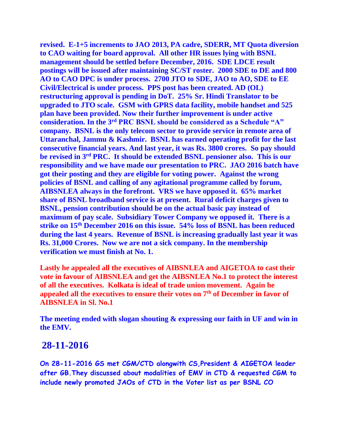**revised. E-1+5 increments to JAO 2013, PA cadre, SDERR, MT Quota diversion to CAO waiting for board approval. All other HR issues lying with BSNL management should be settled before December, 2016. SDE LDCE result postings will be issued after maintaining SC/ST roster. 2000 SDE to DE and 800 AO to CAO DPC is under process. 2700 JTO to SDE, JAO to AO, SDE to EE Civil/Electrical is under process. PPS post has been created. AD (OL) restructuring approval is pending in DoT. 25% Sr. Hindi Translator to be upgraded to JTO scale. GSM with GPRS data facility, mobile handset and 525 plan have been provided. Now their further improvement is under active consideration. In the 3rd PRC BSNL should be considered as a Schedule "A" company. BSNL is the only telecom sector to provide service in remote area of Uttaranchal, Jammu & Kashmir. BSNL has earned operating profit for the last consecutive financial years. And last year, it was Rs. 3800 crores. So pay should be revised in 3rd PRC. It should be extended BSNL pensioner also. This is our responsibility and we have made our presentation to PRC. JAO 2016 batch have got their posting and they are eligible for voting power. Against the wrong policies of BSNL and calling of any agitational programme called by forum, AIBSNLEA always in the forefront. VRS we have opposed it. 65% market share of BSNL broadband service is at present. Rural deficit charges given to BSNL, pension contribution should be on the actual basic pay instead of maximum of pay scale. Subsidiary Tower Company we opposed it. There is a strike on 15th December 2016 on this issue. 54% loss of BSNL has been reduced during the last 4 years. Revenue of BSNL is increasing gradually last year it was Rs. 31,000 Crores. Now we are not a sick company. In the membership verification we must finish at No. 1.**

**Lastly he appealed all the executives of AIBSNLEA and AIGETOA to cast their vote in favour of AIBSNLEA and get the AIBSNLEA No.1 to protect the interest of all the executives. Kolkata is ideal of trade union movement. Again he appealed all the executives to ensure their votes on 7th of December in favor of AIBSNLEA in Sl. No.1**

**The meeting ended with slogan shouting & expressing our faith in UF and win in the EMV.**

## **28-11-2016**

**On 28-11-2016 GS met CGM/CTD alongwith CS,President & AIGETOA leader after GB.They discussed about modalities of EMV in CTD & requested CGM to include newly promoted JAOs of CTD in the Voter list as per BSNL CO**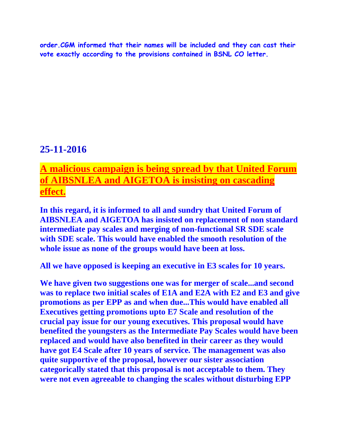**order.CGM informed that their names will be included and they can cast their vote exactly according to the provisions contained in BSNL CO letter.**

# **25-11-2016**

# **A malicious campaign is being spread by that United Forum of AIBSNLEA and AIGETOA is insisting on cascading effect.**

**In this regard, it is informed to all and sundry that United Forum of AIBSNLEA and AIGETOA has insisted on replacement of non standard intermediate pay scales and merging of non-functional SR SDE scale with SDE scale. This would have enabled the smooth resolution of the whole issue as none of the groups would have been at loss.**

**All we have opposed is keeping an executive in E3 scales for 10 years.**

**We have given two suggestions one was for merger of scale...and second was to replace two initial scales of E1A and E2A with E2 and E3 and give promotions as per EPP as and when due...This would have enabled all Executives getting promotions upto E7 Scale and resolution of the crucial pay issue for our young executives. This proposal would have benefited the youngsters as the Intermediate Pay Scales would have been replaced and would have also benefited in their career as they would have got E4 Scale after 10 years of service. The management was also quite supportive of the proposal, however our sister association categorically stated that this proposal is not acceptable to them. They were not even agreeable to changing the scales without disturbing EPP**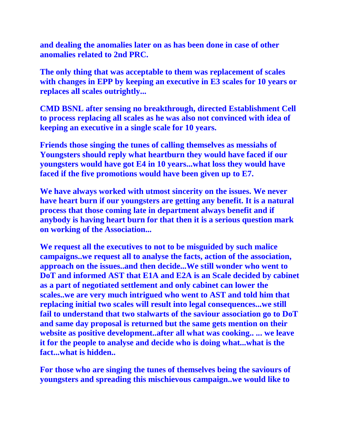**and dealing the anomalies later on as has been done in case of other anomalies related to 2nd PRC.**

**The only thing that was acceptable to them was replacement of scales with changes in EPP by keeping an executive in E3 scales for 10 years or replaces all scales outrightly...**

**CMD BSNL after sensing no breakthrough, directed Establishment Cell to process replacing all scales as he was also not convinced with idea of keeping an executive in a single scale for 10 years.**

**Friends those singing the tunes of calling themselves as messiahs of Youngsters should reply what heartburn they would have faced if our youngsters would have got E4 in 10 years...what loss they would have faced if the five promotions would have been given up to E7.**

**We have always worked with utmost sincerity on the issues. We never have heart burn if our youngsters are getting any benefit. It is a natural process that those coming late in department always benefit and if anybody is having heart burn for that then it is a serious question mark on working of the Association...**

**We request all the executives to not to be misguided by such malice campaigns..we request all to analyse the facts, action of the association, approach on the issues..and then decide...We still wonder who went to DoT and informed AST that E1A and E2A is an Scale decided by cabinet as a part of negotiated settlement and only cabinet can lower the scales..we are very much intrigued who went to AST and told him that replacing initial two scales will result into legal consequences...we still fail to understand that two stalwarts of the saviour association go to DoT and same day proposal is returned but the same gets mention on their website as positive development..after all what was cooking.. ... we leave it for the people to analyse and decide who is doing what...what is the fact...what is hidden..**

**For those who are singing the tunes of themselves being the saviours of youngsters and spreading this mischievous campaign..we would like to**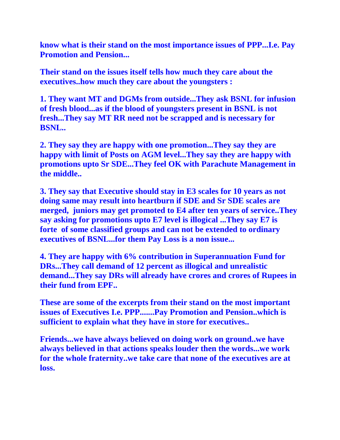**know what is their stand on the most importance issues of PPP...I.e. Pay Promotion and Pension...**

**Their stand on the issues itself tells how much they care about the executives..how much they care about the youngsters :**

**1. They want MT and DGMs from outside...They ask BSNL for infusion of fresh blood...as if the blood of youngsters present in BSNL is not fresh...They say MT RR need not be scrapped and is necessary for BSNL..**

**2. They say they are happy with one promotion...They say they are happy with limit of Posts on AGM level...They say they are happy with promotions upto Sr SDE...They feel OK with Parachute Management in the middle..**

**3. They say that Executive should stay in E3 scales for 10 years as not doing same may result into heartburn if SDE and Sr SDE scales are merged, juniors may get promoted to E4 after ten years of service..They say asking for promotions upto E7 level is illogical ...They say E7 is forte of some classified groups and can not be extended to ordinary executives of BSNL...for them Pay Loss is a non issue...**

**4. They are happy with 6% contribution in Superannuation Fund for DRs...They call demand of 12 percent as illogical and unrealistic demand...They say DRs will already have crores and crores of Rupees in their fund from EPF..**

**These are some of the excerpts from their stand on the most important issues of Executives I.e. PPP.......Pay Promotion and Pension..which is sufficient to explain what they have in store for executives..**

**Friends...we have always believed on doing work on ground..we have always believed in that actions speaks louder then the words...we work for the whole fraternity..we take care that none of the executives are at loss.**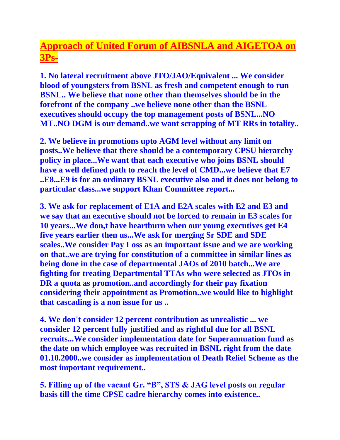# **Approach of United Forum of AIBSNLA and AIGETOA on 3Ps-**

**1. No lateral recruitment above JTO/JAO/Equivalent ... We consider blood of youngsters from BSNL as fresh and competent enough to run BSNL.. We believe that none other than themselves should be in the forefront of the company ..we believe none other than the BSNL executives should occupy the top management posts of BSNL...NO MT..NO DGM is our demand..we want scrapping of MT RRs in totality..**

**2. We believe in promotions upto AGM level without any limit on posts..We believe that there should be a contemporary CPSU hierarchy policy in place...We want that each executive who joins BSNL should have a well defined path to reach the level of CMD...we believe that E7 ..E8...E9 is for an ordinary BSNL executive also and it does not belong to particular class...we support Khan Committee report...**

**3. We ask for replacement of E1A and E2A scales with E2 and E3 and we say that an executive should not be forced to remain in E3 scales for 10 years...We don,t have heartburn when our young executives get E4 five years earlier then us...We ask for merging Sr SDE and SDE scales..We consider Pay Loss as an important issue and we are working on that..we are trying for constitution of a committee in similar lines as being done in the case of departmental JAOs of 2010 batch...We are fighting for treating Departmental TTAs who were selected as JTOs in DR a quota as promotion..and accordingly for their pay fixation considering their appointment as Promotion..we would like to highlight that cascading is a non issue for us ..**

**4. We don't consider 12 percent contribution as unrealistic ... we consider 12 percent fully justified and as rightful due for all BSNL recruits...We consider implementation date for Superannuation fund as the date on which employee was recruited in BSNL right from the date 01.10.2000..we consider as implementation of Death Relief Scheme as the most important requirement..**

**5. Filling up of the vacant Gr. "B", STS & JAG level posts on regular basis till the time CPSE cadre hierarchy comes into existence..**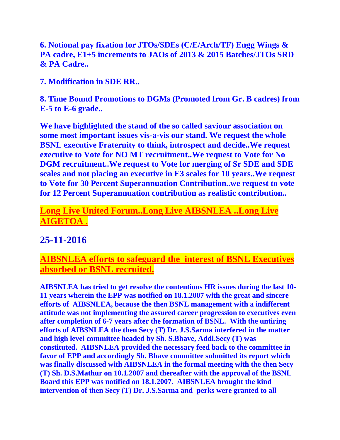**6. Notional pay fixation for JTOs/SDEs (C/E/Arch/TF) Engg Wings & PA cadre, E1+5 increments to JAOs of 2013 & 2015 Batches/JTOs SRD & PA Cadre..**

**7. Modification in SDE RR..**

**8. Time Bound Promotions to DGMs (Promoted from Gr. B cadres) from E-5 to E-6 grade..**

**We have highlighted the stand of the so called saviour association on some most important issues vis-a-vis our stand. We request the whole BSNL executive Fraternity to think, introspect and decide..We request executive to Vote for NO MT recruitment..We request to Vote for No DGM recruitment..We request to Vote for merging of Sr SDE and SDE scales and not placing an executive in E3 scales for 10 years..We request to Vote for 30 Percent Superannuation Contribution..we request to vote for 12 Percent Superannuation contribution as realistic contribution..**

# **Long Live United Forum..Long Live AIBSNLEA ..Long Live AIGETOA .**

# **25-11-2016**

## **AIBSNLEA efforts to safeguard the interest of BSNL Executives absorbed or BSNL recruited.**

**AIBSNLEA has tried to get resolve the contentious HR issues during the last 10- 11 years wherein the EPP was notified on 18.1.2007 with the great and sincere efforts of AIBSNLEA, because the then BSNL management with a indifferent attitude was not implementing the assured career progression to executives even after completion of 6-7 years after the formation of BSNL. With the untiring efforts of AIBSNLEA the then Secy (T) Dr. J.S.Sarma interfered in the matter and high level committee headed by Sh. S.Bhave, Addl.Secy (T) was constituted. AIBSNLEA provided the necessary feed back to the committee in favor of EPP and accordingly Sh. Bhave committee submitted its report which was finally discussed with AIBSNLEA in the formal meeting with the then Secy (T) Sh. D.S.Mathur on 10.1.2007 and thereafter with the approval of the BSNL Board this EPP was notified on 18.1.2007. AIBSNLEA brought the kind intervention of then Secy (T) Dr. J.S.Sarma and perks were granted to all**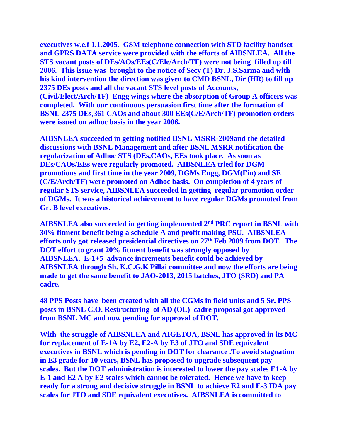**executives w.e.f 1.1.2005. GSM telephone connection with STD facility handset and GPRS DATA service were provided with the efforts of AIBSNLEA. All the STS vacant posts of DEs/AOs/EEs(C/Ele/Arch/TF) were not being filled up till 2006. This issue was brought to the notice of Secy (T) Dr. J.S.Sarma and with his kind intervention the direction was given to CMD BSNL, Dir (HR) to fill up 2375 DEs posts and all the vacant STS level posts of Accounts, (Civil/Elect/Arch/TF) Engg wings where the absorption of Group A officers was completed. With our continuous persuasion first time after the formation of BSNL 2375 DEs,361 CAOs and about 300 EEs(C/E/Arch/TF) promotion orders were issued on adhoc basis in the year 2006.**

**AIBSNLEA succeeded in getting notified BSNL MSRR-2009and the detailed discussions with BSNL Management and after BSNL MSRR notification the regularization of Adhoc STS (DEs,CAOs, EEs took place. As soon as DEs/CAOs/EEs were regularly promoted. AIBSNLEA tried for DGM promotions and first time in the year 2009, DGMs Engg, DGM(Fin) and SE (C/E/Arch/TF) were promoted on Adhoc basis. On completion of 4 years of regular STS service, AIBSNLEA succeeded in getting regular promotion order of DGMs. It was a historical achievement to have regular DGMs promoted from Gr. B level executives.**

**AIBSNLEA also succeeded in getting implemented 2nd PRC report in BSNL with 30% fitment benefit being a schedule A and profit making PSU. AIBSNLEA efforts only got released presidential directives on 27th Feb 2009 from DOT. The DOT effort to grant 20% fitment benefit was strongly opposed by AIBSNLEA. E-1+5 advance increments benefit could be achieved by AIBSNLEA through Sh. K.C.G.K Pillai committee and now the efforts are being made to get the same benefit to JAO-2013, 2015 batches, JTO (SRD) and PA cadre.**

**48 PPS Posts have been created with all the CGMs in field units and 5 Sr. PPS posts in BSNL C.O. Restructuring of AD (OL) cadre proposal got approved from BSNL MC and now pending for approval of DOT.**

**With the struggle of AIBSNLEA and AIGETOA, BSNL has approved in its MC for replacement of E-1A by E2, E2-A by E3 of JTO and SDE equivalent executives in BSNL which is pending in DOT for clearance .To avoid stagnation in E3 grade for 10 years, BSNL has proposed to upgrade subsequent pay scales. But the DOT administration is interested to lower the pay scales E1-A by E-1 and E2 A by E2 scales which cannot be tolerated. Hence we have to keep ready for a strong and decisive struggle in BSNL to achieve E2 and E-3 IDA pay scales for JTO and SDE equivalent executives. AIBSNLEA is committed to**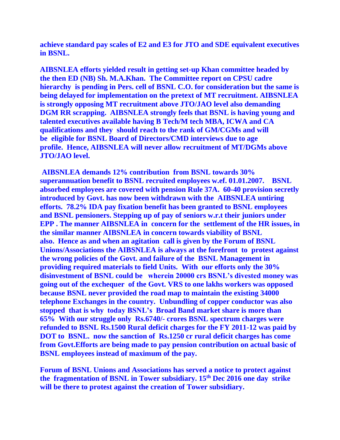**achieve standard pay scales of E2 and E3 for JTO and SDE equivalent executives in BSNL.**

**AIBSNLEA efforts yielded result in getting set-up Khan committee headed by the then ED (NB) Sh. M.A.Khan. The Committee report on CPSU cadre hierarchy is pending in Pers. cell of BSNL C.O. for consideration but the same is being delayed for implementation on the pretext of MT recruitment. AIBSNLEA is strongly opposing MT recruitment above JTO/JAO level also demanding DGM RR scrapping. AIBSNLEA strongly feels that BSNL is having young and talented executives available having B Tech/M tech MBA, ICWA and CA qualifications and they should reach to the rank of GM/CGMs and will be eligible for BSNL Board of Directors/CMD interviews due to age profile. Hence, AIBSNLEA will never allow recruitment of MT/DGMs above JTO/JAO level.**

**AIBSNLEA demands 12% contribution from BSNL towards 30% superannuation benefit to BSNL recruited employees w.ef. 01.01.2007. BSNL absorbed employees are covered with pension Rule 37A. 60-40 provision secretly introduced by Govt. has now been withdrawn with the AIBSNLEA untiring efforts. 78.2% IDA pay fixation benefit has been granted to BSNL employees and BSNL pensioners. Stepping up of pay of seniors w.r.t their juniors under EPP . The manner AIBSNLEA in concern for the settlement of the HR issues, in the similar manner AIBSNLEA in concern towards viability of BSNL also. Hence as and when an agitation call is given by the Forum of BSNL Unions/Associations the AIBSNLEA is always at the forefront to protest against the wrong policies of the Govt. and failure of the BSNL Management in providing required materials to field Units. With our efforts only the 30% disinvestment of BSNL could be wherein 20000 crs BSNL's divested money was going out of the exchequer of the Govt. VRS to one lakhs workers was opposed because BSNL never provided the road map to maintain the existing 34000 telephone Exchanges in the country. Unbundling of copper conductor was also stopped that is why today BSNL's Broad Band market share is more than 65% With our struggle only Rs.6740/- crores BSNL spectrum charges were refunded to BSNL Rs.1500 Rural deficit charges for the FY 2011-12 was paid by DOT to BSNL. now the sanction of Rs.1250 cr rural deficit charges has come from Govt.Efforts are being made to pay pension contribution on actual basic of BSNL employees instead of maximum of the pay.**

**Forum of BSNL Unions and Associations has served a notice to protect against the fragmentation of BSNL in Tower subsidiary. 15th Dec 2016 one day strike will be there to protest against the creation of Tower subsidiary.**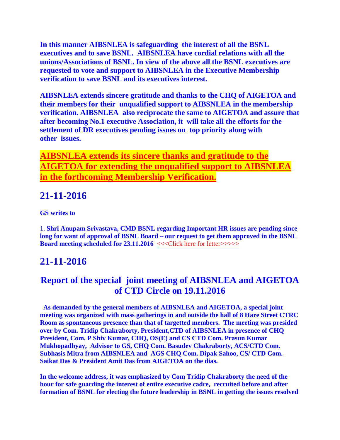**In this manner AIBSNLEA is safeguarding the interest of all the BSNL executives and to save BSNL. AIBSNLEA have cordial relations with all the unions/Associations of BSNL. In view of the above all the BSNL executives are requested to vote and support to AIBSNLEA in the Executive Membership verification to save BSNL and its executives interest.**

**AIBSNLEA extends sincere gratitude and thanks to the CHQ of AIGETOA and their members for their unqualified support to AIBSNLEA in the membership verification. AIBSNLEA also reciprocate the same to AIGETOA and assure that after becoming No.1 executive Association, it will take all the efforts for the settlement of DR executives pending issues on top priority along with other issues.**

**AIBSNLEA extends its sincere thanks and gratitude to the AIGETOA for extending the unqualified support to AIBSNLEA in the forthcoming Membership Verification.**

# **21-11-2016**

**GS writes to**

1. **Shri Anupam Srivastava, CMD BSNL regarding Important HR issues are pending since long for want of approval of BSNL Board – our request to get them approved in the BSNL Board meeting scheduled for 23.11.2016**  $\leq$ <<
Click here for letter>>>>>>>>>>

# **21-11-2016**

# **Report of the special joint meeting of AIBSNLEA and AIGETOA of CTD Circle on 19.11.2016**

**As demanded by the general members of AIBSNLEA and AIGETOA, a special joint meeting was organized with mass gatherings in and outside the hall of 8 Hare Street CTRC Room as spontaneous presence than that of targetted members. The meeting was presided over by Com. Tridip Chakraborty, President,CTD of AIBSNLEA in presence of CHQ President, Com. P Shiv Kumar, CHQ, OS(E) and CS CTD Com. Prasun Kumar Mukhopadhyay, Advisor to GS, CHQ Com. Basudev Chakraborty, ACS/CTD Com. Subhasis Mitra from AIBSNLEA and AGS CHQ Com. Dipak Sahoo, CS/ CTD Com. Saikat Das & President Amit Das from AIGETOA on the dias.**

**In the welcome address, it was emphasized by Com Tridip Chakraborty the need of the hour for safe guarding the interest of entire executive cadre, recruited before and after formation of BSNL for electing the future leadership in BSNL in getting the issues resolved**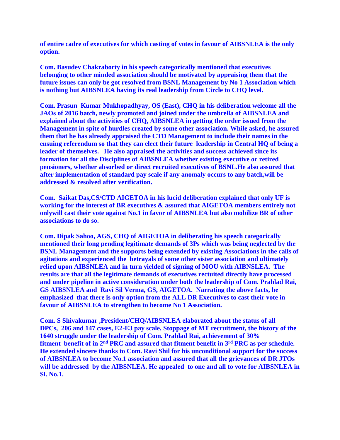**of entire cadre of executives for which casting of votes in favour of AIBSNLEA is the only option.**

**Com. Basudev Chakraborty in his speech categorically mentioned that executives belonging to other minded association should be motivated by appraising them that the future issues can only be got resolved from BSNL Management by No 1 Association which is nothing but AIBSNLEA having its real leadership from Circle to CHQ level.**

**Com. Prasun Kumar Mukhopadhyay, OS (East), CHQ in his deliberation welcome all the JAOs of 2016 batch, newly promoted and joined under the umbrella of AIBSNLEA and explained about the activities of CHQ, AIBSNLEA in getting the order issued from the Management in spite of hurdles created by some other association. While asked, he assured them that he has already appraised the CTD Management to include their names in the ensuing referendum so that they can elect their future leadership in Central HQ of being a leader of themselves. He also appraised the activities and success achieved since its formation for all the Disciplines of AIBSNLEA whether existing executive or retired pensioners, whether absorbed or direct recruited executives of BSNL.He also assured that after implementation of standard pay scale if any anomaly occurs to any batch,will be addressed & resolved after verification.**

**Com. Saikat Das,CS/CTD AIGETOA in his lucid deliberation explained that only UF is working for the interest of BR executives & assured that AIGETOA members entirely not onlywill cast their vote against No.1 in favor of AIBSNLEA but also mobilize BR of other associations to do so.**

**Com. Dipak Sahoo, AGS, CHQ of AIGETOA in deliberating his speech categorically mentioned their long pending legitimate demands of 3Ps which was being neglected by the BSNL Management and the supports being extended by existing Associations in the calls of agitations and experienced the betrayals of some other sister association and ultimately relied upon AIBSNLEA and in turn yielded of signing of MOU with AIBNSLEA. The results are that all the legitimate demands of executives rectuited directly have processed and under pipeline in active consideration under both the leadership of Com. Prahlad Rai, GS AIBSNLEA and Ravi Sil Verma, GS, AIGETOA. Narrating the above facts, he emphasized that there is only option from the ALL DR Executives to cast their vote in favour of AIBSNLEA to strengthen to become No 1 Association.**

**Com. S Shivakumar ,President/CHQ/AIBSNLEA elaborated about the status of all DPCs, 206 and 147 cases, E2-E3 pay scale, Stoppage of MT recruitment, the history of the 1640 struggle under the leadership of Com. Prahlad Rai, achievement of 30% fitment benefit of in 2nd PRC and assured that fitment benefit in 3rd PRC as per schedule. He extended sincere thanks to Com. Ravi Shil for his unconditional support for the success of AIBSNLEA to become No.1 association and assured that all the grievances of DR JTOs will be addressed by the AIBSNLEA. He appealed to one and all to vote for AIBSNLEA in Sl. No.1.**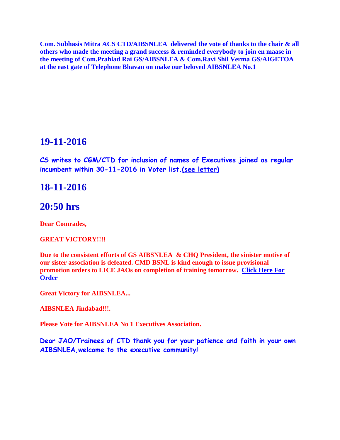**Com. Subhasis Mitra ACS CTD/AIBSNLEA delivered the vote of thanks to the chair & all others who made the meeting a grand success & reminded everybody to join en maase in the meeting of Com.Prahlad Rai GS/AIBSNLEA & Com.Ravi Shil Verma GS/AIGETOA at the east gate of Telephone Bhavan on make our beloved AIBSNLEA No.1**

### **19-11-2016**

**CS writes to CGM/CTD for inclusion of names of Executives joined as regular incumbent within 30-11-2016 in Voter list[.\(see letter\)](Inclusion.pdf)**

### **18-11-2016**

### **20:50 hrs**

**Dear Comrades,** 

#### **GREAT VICTORY!!!!**

**Due to the consistent efforts of GS AIBSNLEA & CHQ President, the sinister motive of our sister association is defeated. CMD BSNL is kind enough to issue provisional promotion orders to LICE JAOs on completion of training tomorrow. [Click Here For](https://drive.google.com/file/d/0B4Qpuu2ZkcweRnprdXZQcjJQWkk/view?usp=sharing)  [Order](https://drive.google.com/file/d/0B4Qpuu2ZkcweRnprdXZQcjJQWkk/view?usp=sharing)**

**Great Victory for AIBSNLEA...**

**AIBSNLEA Jindabad!!!.**

**Please Vote for AIBSNLEA No 1 Executives Association.**

**Dear JAO/Trainees of CTD thank you for your patience and faith in your own AIBSNLEA,welcome to the executive community!**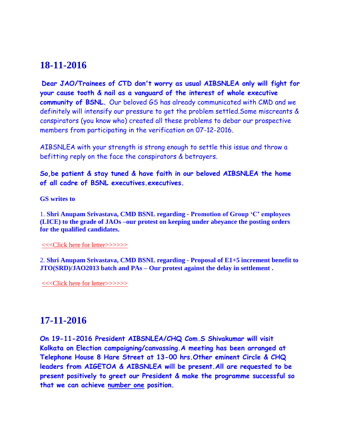## **18-11-2016**

**Dear JAO/Trainees of CTD don't worry as usual AIBSNLEA only will fight for your cause tooth & nail as a vanguard of the interest of whole executive community of BSNL.** Our beloved GS has already communicated with CMD and we definitely will intensify our pressure to get the problem settled.Some miscreants & conspirators (you know who) created all these problems to debar our prospective members from participating in the verification on 07-12-2016.

AIBSNLEA with your strength is strong enough to settle this issue and throw a befitting reply on the face the conspirators & betrayers.

**So,be patient & stay tuned & have faith in our beloved AIBSNLEA the home of all cadre of BSNL executives.executives.**

**GS writes to**

1. **Shri Anupam Srivastava, CMD BSNL regarding - Promotion of Group 'C' employees (LICE) to the grade of JAOs –our protest on keeping under abeyance the posting orders for the qualified candidates.**

[<<<Click here for letter>>>>>>](http://www.aibsnleachq.in/CMD_JAO_161118.pdf)

2. **Shri Anupam Srivastava, CMD BSNL regarding - Proposal of E1+5 increment benefit to JTO(SRD)/JAO2013 batch and PAs – Our protest against the delay in settlement .**

[<<<Click here for letter>>>>>>](http://www.aibsnleachq.in/CMD_E15_161118.pdf)

## **17-11-2016**

**On 19-11-2016 President AIBSNLEA/CHQ Com.S Shivakumar will visit Kolkata on Election campaigning/canvassing.A meeting has been arranged at Telephone House 8 Hare Street at 13-00 hrs.Other eminent Circle & CHQ leaders from AIGETOA & AIBSNLEA will be present.All are requested to be present positively to greet our President & make the programme successful so that we can achieve number one position.**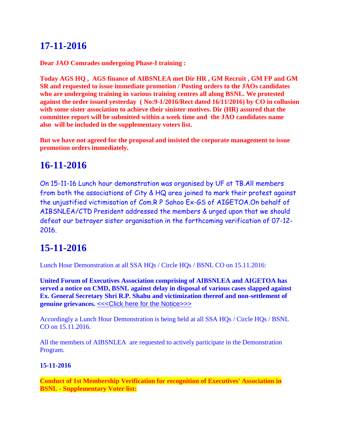# **17-11-2016**

**Dear JAO Comrades undergoing Phase-I training :**

**Today AGS HQ , AGS finance of AIBSNLEA met Dir HR , GM Recruit , GM FP and GM SR and requested to issue immediate promotion / Posting orders to the JAOs candidates who are undergoing training in various training centres all along BSNL. We protested against the order issued yesterday ( No:9-1/2016/Rect dated 16/11/2016) by CO in collusion with some sister association to achieve their sinister motives. Dir (HR) assured that the committee report will be submitted within a week time and the JAO candidates name also will be included in the supplementary voters list.**

**But we have not agreed for the proposal and insisted the corporate management to issue promotion orders immediately.**

# **16-11-2016**

On 15-11-16 Lunch hour demonstration was organised by UF at TB.All members from both the associations of City & HQ area joined to mark their protest against the unjustified victimisation of Com.R P Sahoo Ex-GS of AIGETOA.On behalf of AIBSNLEA/CTD President addressed the members & urged upon that we should defeat our betrayer sister organisation in the forthcoming verification of 07-12- 2016.

# **15-11-2016**

Lunch Hour Demonstration at all SSA HQs / Circle HQs / BSNL CO on 15.11.2016:

**United Forum of Executives Association comprising of AIBSNLEA and AIGETOA has served a notice on CMD, BSNL against delay in disposal of various cases slapped against Ex. General Secretary Shri R.P. Shahu and victimization thereof and non-settlement of genuine grievances.** [<<<Click here for the Notice>>>](http://www.aibsnleachq.in/UF-Letter_%20RPS.pdf)

Accordingly a Lunch Hour Demonstration is being held at all SSA HQs / Circle HQs / BSNL CO on 15.11.2016.

All the members of AIBSNLEA are requested to actively participate in the Demonstration Program.

### **15-11-2016**

**Conduct of 1st Membership Verification for recognition of Executives' Association in BSNL - Supplementary Voter list:**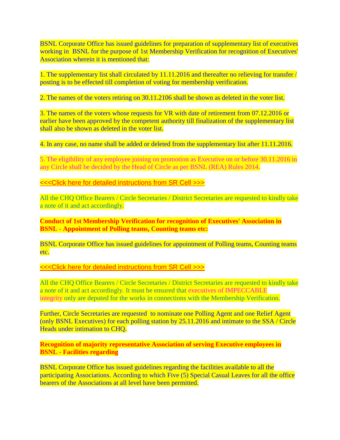BSNL Corporate Office has issued guidelines for preparation of supplementary list of executives working in BSNL for the purpose of 1st Membership Verification for recognition of Executives' Association wherein it is mentioned that:

1. The supplementary list shall circulated by 11.11.2016 and thereafter no relieving for transfer / posting is to be effected till completion of voting for membership verification.

2. The names of the voters retiring on 30.11.2106 shall be shown as deleted in the voter list.

3. The names of the voters whose requests for VR with date of retirement from 07.12.2016 or earlier have been approved by the competent authority till finalization of the supplementary list shall also be shown as deleted in the voter list.

4. In any case, no name shall be added or deleted from the supplementary list after 11.11.2016.

5. The eligibility of any employee joining on promotion as Executive on or before 30.11.2016 in any Circle shall be decided by the Head of Circle as per BSNL (REA) Rules 2014.

[<<<Click here for detailed instructions from SR Cell >>>](http://www.aibsnleachq.in/1EMV101116.pdf)

All the CHQ Office Bearers / Circle Secretaries / District Secretaries are requested to kindly take a note of it and act accordingly.

**Conduct of 1st Membership Verification for recognition of Executives' Association in BSNL - Appointment of Polling teams, Counting teams etc:**

BSNL Corporate Office has issued guidelines for appointment of Polling teams, Counting teams etc.

[<<<Click here for detailed instructions from SR Cell >>>](http://www.aibsnleachq.in/1EMV101116A.pdf)

All the CHQ Office Bearers / Circle Secretaries / District Secretaries are requested to kindly take a note of it and act accordingly. It must be ensured that executives of IMPECCABLE integrity only are deputed for the works in connections with the Membership Verification.

Further, Circle Secretaries are requested to nominate one Polling Agent and one Relief Agent (only BSNL Executives) for each polling station by 25.11.2016 and intimate to the SSA / Circle Heads under intimation to CHQ.

**Recognition of majority representative Association of serving Executive employees in BSNL - Facilities regarding**

BSNL Corporate Office has issued guidelines regarding the facilities available to all the participating Associations. According to which Five (5) Special Casual Leaves for all the office bearers of the Associations at all level have been permitted.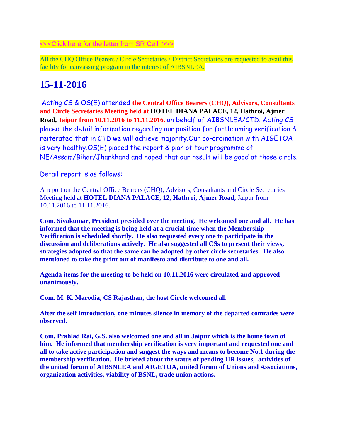[<<<Click here for the letter from SR Cell](http://www.aibsnleachq.in/1EMV281016.pdf) >>>

All the CHQ Office Bearers / Circle Secretaries / District Secretaries are requested to avail this facility for canvassing program in the interest of AIBSNLEA.

# **15-11-2016**

Acting CS & OS(E) attended **the Central Office Bearers (CHQ), Advisors, Consultants and Circle Secretaries Meeting held at HOTEL DIANA PALACE, 12, Hathroi, Ajmer Road, Jaipur from 10.11.2016 to 11.11.2016.** on behalf of AIBSNLEA/CTD. Acting CS placed the detail information regarding our position for forthcoming verification & reiterated that in CTD we will achieve majority.Our co-ordination with AIGETOA is very healthy.OS(E) placed the report & plan of tour programme of NE/Assam/Bihar/Jharkhand and hoped that our result will be good at those circle.

Detail report is as follows:

A report on the Central Office Bearers (CHQ), Advisors, Consultants and Circle Secretaries Meeting held at **HOTEL DIANA PALACE, 12, Hathroi, Ajmer Road,** Jaipur from 10.11.2016 to 11.11.2016.

**Com. Sivakumar, President presided over the meeting. He welcomed one and all. He has informed that the meeting is being held at a crucial time when the Membership Verification is scheduled shortly. He also requested every one to participate in the discussion and deliberations actively. He also suggested all CSs to present their views, strategies adopted so that the same can be adopted by other circle secretaries. He also mentioned to take the print out of manifesto and distribute to one and all.**

**Agenda items for the meeting to be held on 10.11.2016 were circulated and approved unanimously.**

**Com. M. K. Marodia, CS Rajasthan, the host Circle welcomed all**

**After the self introduction, one minutes silence in memory of the departed comrades were observed.**

**Com. Prahlad Rai, G.S. also welcomed one and all in Jaipur which is the home town of him. He informed that membership verification is very important and requested one and all to take active participation and suggest the ways and means to become No.1 during the membership verification. He briefed about the status of pending HR issues, activities of the united forum of AIBSNLEA and AIGETOA, united forum of Unions and Associations, organization activities, viability of BSNL, trade union actions.**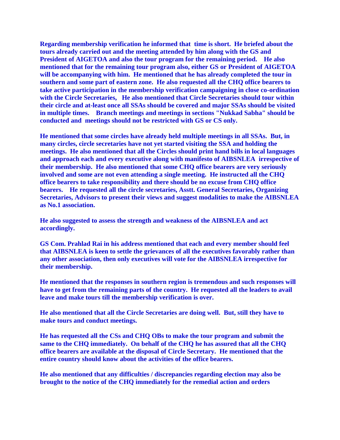**Regarding membership verification he informed that time is short. He briefed about the tours already carried out and the meeting attended by him along with the GS and President of AIGETOA and also the tour program for the remaining period. He also mentioned that for the remaining tour program also, either GS or President of AIGETOA will be accompanying with him. He mentioned that he has already completed the tour in southern and some part of eastern zone. He also requested all the CHQ office bearers to take active participation in the membership verification campaigning in close co-ordination with the Circle Secretaries, He also mentioned that Circle Secretaries should tour within their circle and at-least once all SSAs should be covered and major SSAs should be visited in multiple times. Branch meetings and meetings in sections "Nukkad Sabha" should be conducted and meetings should not be restricted with GS or CS only.**

**He mentioned that some circles have already held multiple meetings in all SSAs. But, in many circles, circle secretaries have not yet started visiting the SSA and holding the meetings. He also mentioned that all the Circles should print hand bills in local languages and approach each and every executive along with manifesto of AIBSNLEA irrespective of their membership. He also mentioned that some CHQ office bearers are very seriously involved and some are not even attending a single meeting. He instructed all the CHQ office bearers to take responsibility and there should be no excuse from CHQ office bearers. He requested all the circle secretaries, Asstt. General Secretaries, Organizing Secretaries, Advisors to present their views and suggest modalities to make the AIBSNLEA as No.1 association.**

**He also suggested to assess the strength and weakness of the AIBSNLEA and act accordingly.**

**GS Com. Prahlad Rai in his address mentioned that each and every member should feel that AIBSNLEA is keen to settle the grievances of all the executives favorably rather than any other association, then only executives will vote for the AIBSNLEA irrespective for their membership.**

**He mentioned that the responses in southern region is tremendous and such responses will have to get from the remaining parts of the country. He requested all the leaders to avail leave and make tours till the membership verification is over.**

**He also mentioned that all the Circle Secretaries are doing well. But, still they have to make tours and conduct meetings.**

**He has requested all the CSs and CHQ OBs to make the tour program and submit the same to the CHQ immediately. On behalf of the CHQ he has assured that all the CHQ office bearers are available at the disposal of Circle Secretary. He mentioned that the entire country should know about the activities of the office bearers.**

**He also mentioned that any difficulties / discrepancies regarding election may also be brought to the notice of the CHQ immediately for the remedial action and orders**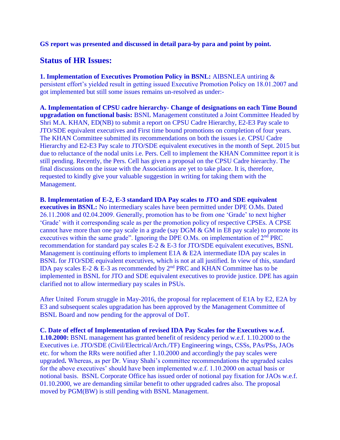#### **GS report was presented and discussed in detail para-by para and point by point.**

### **Status of HR Issues:**

**1. Implementation of Executives Promotion Policy in BSNL:** AIBSNLEA untiring & persistent effort's yielded result in getting issued Executive Promotion Policy on 18.01.2007 and got implemented but still some issues remains un-resolved as under:-

**A. Implementation of CPSU cadre hierarchy- Change of designations on each Time Bound upgradation on functional basis:** BSNL Management constituted a Joint Committee Headed by Shri M.A. KHAN, ED(NB) to submit a report on CPSU Cadre Hierarchy, E2-E3 Pay scale to JTO/SDE equivalent executives and First time bound promotions on completion of four years. The KHAN Committee submitted its recommendations on both the issues i.e. CPSU Cadre Hierarchy and E2-E3 Pay scale to JTO/SDE equivalent executives in the month of Sept. 2015 but due to reluctance of the nodal units i.e. Pers. Cell to implement the KHAN Committee report it is still pending. Recently, the Pers. Cell has given a proposal on the CPSU Cadre hierarchy. The final discussions on the issue with the Associations are yet to take place. It is, therefore, requested to kindly give your valuable suggestion in writing for taking them with the Management.

**B. Implementation of E-2, E-3 standard IDA Pay scales to JTO and SDE equivalent executives in BSNL:** No intermediary scales have been permitted under DPE O.Ms. Dated 26.11.2008 and 02.04.2009. Generally, promotion has to be from one 'Grade' to next higher 'Grade' with it corresponding scale as per the promotion policy of respective CPSEs. A CPSE cannot have more than one pay scale in a grade (say  $DGM \& GM$  in E8 pay scale) to promote its executives within the same grade". Ignoring the DPE O.Ms. on implementation of 2nd PRC recommendation for standard pay scales E-2 & E-3 for JTO/SDE equivalent executives, BSNL Management is continuing efforts to implement E1A & E2A intermediate IDA pay scales in BSNL for JTO/SDE equivalent executives, which is not at all justified. In view of this, standard IDA pay scales E-2  $\&$  E-3 as recommended by 2<sup>nd</sup> PRC and KHAN Committee has to be implemented in BSNL for JTO and SDE equivalent executives to provide justice. DPE has again clarified not to allow intermediary pay scales in PSUs.

After United Forum struggle in May-2016, the proposal for replacement of E1A by E2, E2A by E3 and subsequent scales upgradation has been approved by the Management Committee of BSNL Board and now pending for the approval of DoT.

**C. Date of effect of Implementation of revised IDA Pay Scales for the Executives w.e.f. 1.10.2000:** BSNL management has granted benefit of residency period w.e.f. 1.10.2000 to the Executives i.e. JTO/SDE (Civil/Electrical/Arch./TF) Engineering wings, CSSs, PAs/PSs, JAOs etc. for whom the RRs were notified after 1.10.2000 and accordingly the pay scales were upgraded**.** Whereas, as per Dr. Vinay Shahi's committee recommendations the upgraded scales for the above executives' should have been implemented w.e.f. 1.10.2000 on actual basis or notional basis. BSNL Corporate Office has issued order of notional pay fixation for JAOs w.e.f. 01.10.2000, we are demanding similar benefit to other upgraded cadres also. The proposal moved by PGM(BW) is still pending with BSNL Management.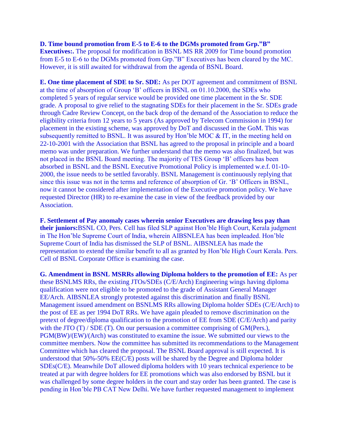#### **D. Time bound promotion from E-5 to E-6 to the DGMs promoted from Grp."B"**

**Executives:.** The proposal for modification in BSNL MS RR 2009 for Time bound promotion from E-5 to E-6 to the DGMs promoted from Grp."B" Executives has been cleared by the MC. However, it is still awaited for withdrawal from the agenda of BSNL Board.

**E. One time placement of SDE to Sr. SDE:** As per DOT agreement and commitment of BSNL at the time of absorption of Group 'B' officers in BSNL on 01.10.2000, the SDEs who completed 5 years of regular service would be provided one time placement in the Sr. SDE grade. A proposal to give relief to the stagnating SDEs for their placement in the Sr. SDEs grade through Cadre Review Concept, on the back drop of the demand of the Association to reduce the eligibility criteria from 12 years to 5 years (As approved by Telecom Commission in 1994) for placement in the existing scheme, was approved by DoT and discussed in the GoM. This was subsequently remitted to BSNL. It was assured by Hon'ble MOC & IT, in the meeting held on 22-10-2001 with the Association that BSNL has agreed to the proposal in principle and a board memo was under preparation. We further understand that the memo was also finalized, but was not placed in the BSNL Board meeting. The majority of TES Group 'B' officers has been absorbed in BSNL and the BSNL Executive Promotional Policy is implemented w.e.f. 01-10- 2000, the issue needs to be settled favorably. BSNL Management is continuously replying that since this issue was not in the terms and reference of absorption of Gr. 'B' Officers in BSNL, now it cannot be considered after implementation of the Executive promotion policy. We have requested Director (HR) to re-examine the case in view of the feedback provided by our Association.

**F. Settlement of Pay anomaly cases wherein senior Executives are drawing less pay than their juniors:**BSNL CO, Pers. Cell has filed SLP against Hon'ble High Court, Kerala judgment in The Hon'ble Supreme Court of India, wherein AIBSNLEA has been impleaded. Hon'ble Supreme Court of India has dismissed the SLP of BSNL. AIBSNLEA has made the representation to extend the similar benefit to all as granted by Hon'ble High Court Kerala. Pers. Cell of BSNL Corporate Office is examining the case.

**G. Amendment in BSNL MSRRs allowing Diploma holders to the promotion of EE:** As per these BSNLMS RRs, the existing JTOs/SDEs (C/E/Arch) Engineering wings having diploma qualification were not eligible to be promoted to the grade of Assistant General Manager EE/Arch. AIBSNLEA strongly protested against this discrimination and finally BSNL Management issued amendment on BSNLMS RRs allowing Diploma holder SDEs (C/E/Arch) to the post of EE as per 1994 DoT RRs. We have again pleaded to remove discrimination on the pretext of degree/diploma qualification to the promotion of EE from SDE (C/E/Arch) and parity with the JTO (T) / SDE (T). On our persuasion a committee comprising of GM(Pers.), PGM(BW)/(EW)/(Arch) was constituted to examine the issue. We submitted our views to the committee members. Now the committee has submitted its recommendations to the Management Committee which has cleared the proposal. The BSNL Board approval is still expected. It is understood that 50%-50% EE(C/E) posts will be shared by the Degree and Diploma holder SDEs(C/E). Meanwhile DoT allowed diploma holders with 10 years technical experience to be treated at par with degree holders for EE promotions which was also endorsed by BSNL but it was challenged by some degree holders in the court and stay order has been granted. The case is pending in Hon'ble PB CAT New Delhi. We have further requested management to implement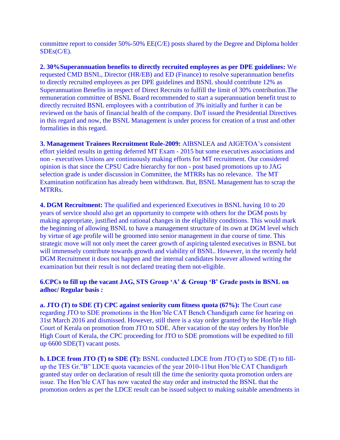committee report to consider 50%-50% EE(C/E) posts shared by the Degree and Diploma holder  $SDEs(C/E)$ .

**2. 30%Superannuation benefits to directly recruited employees as per DPE guidelines:** We requested CMD BSNL, Director (HR/EB) and ED (Finance) to resolve superannuation benefits to directly recruited employees as per DPE guidelines and BSNL should contribute 12% as Superannuation Benefits in respect of Direct Recruits to fulfill the limit of 30% contribution.The remuneration committee of BSNL Board recommended to start a superannuation benefit trust to directly recruited BSNL employees with a contribution of 3% initially and further it can be reviewed on the basis of financial health of the company. DoT issued the Presidential Directives in this regard and now, the BSNL Management is under process for creation of a trust and other formalities in this regard.

**3. Management Trainees Recruitment Rule-2009:** AIBSNLEA and AIGETOA's consistent effort yielded results in getting deferred MT Exam - 2015 but some executives associations and non - executives Unions are continuously making efforts for MT recruitment. Our considered opinion is that since the CPSU Cadre hierarchy for non - post based promotions up to JAG selection grade is under discussion in Committee, the MTRRs has no relevance. The MT Examination notification has already been withdrawn. But, BSNL Management has to scrap the MTRRs.

**4. DGM Recruitment:** The qualified and experienced Executives in BSNL having 10 to 20 years of service should also get an opportunity to compete with others for the DGM posts by making appropriate, justified and rational changes in the eligibility conditions. This would mark the beginning of allowing BSNL to have a management structure of its own at DGM level which by virtue of age profile will be groomed into senior management in due course of time. This strategic move will not only meet the career growth of aspiring talented executives in BSNL but will immensely contribute towards growth and viability of BSNL. However, in the recently held DGM Recruitment it does not happen and the internal candidates however allowed writing the examination but their result is not declared treating them not-eligible.

#### **6.CPCs to fill up the vacant JAG, STS Group 'A' & Group 'B' Grade posts in BSNL on adhoc/ Regular basis :**

**a. JTO (T) to SDE (T) CPC against seniority cum fitness quota (67%):** The Court case regarding JTO to SDE promotions in the Hon'ble CAT Bench Chandigarh came for hearing on 31st March 2016 and dismissed. However, still there is a stay order granted by the Hon'ble High Court of Kerala on promotion from JTO to SDE. After vacation of the stay orders by Hon'ble High Court of Kerala, the CPC proceeding for JTO to SDE promotions will be expedited to fill up 6600 SDE(T) vacant posts.

**b. LDCE from JTO (T) to SDE (T):** BSNL conducted LDCE from JTO (T) to SDE (T) to fillup the TES Gr."B" LDCE quota vacancies of the year 2010-11but Hon'ble CAT Chandigarh granted stay order on declaration of result till the time the seniority quota promotion orders are issue. The Hon'ble CAT has now vacated the stay order and instructed the BSNL that the promotion orders as per the LDCE result can be issued subject to making suitable amendments in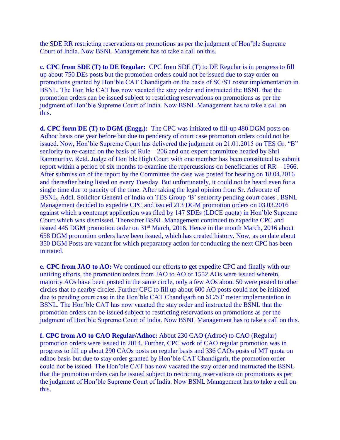the SDE RR restricting reservations on promotions as per the judgment of Hon'ble Supreme Court of India. Now BSNL Management has to take a call on this.

**c. CPC from SDE (T) to DE Regular:** CPC from SDE (T) to DE Regular is in progress to fill up about 750 DEs posts but the promotion orders could not be issued due to stay order on promotions granted by Hon'ble CAT Chandigarh on the basis of SC/ST roster implementation in BSNL. The Hon'ble CAT has now vacated the stay order and instructed the BSNL that the promotion orders can be issued subject to restricting reservations on promotions as per the judgment of Hon'ble Supreme Court of India. Now BSNL Management has to take a call on this.

**d. CPC form DE (T) to DGM (Engg.):** The CPC was initiated to fill-up 480 DGM posts on Adhoc basis one year before but due to pendency of court case promotion orders could not be issued. Now, Hon'ble Supreme Court has delivered the judgment on 21.01.2015 on TES Gr. "B" seniority to re-casted on the basis of Rule – 206 and one expert committee headed by Shri Rammurthy, Retd. Judge of Hon'ble High Court with one member has been constituted to submit report within a period of six months to examine the repercussions on beneficiaries of RR – 1966. After submission of the report by the Committee the case was posted for hearing on 18.04.2016 and thereafter being listed on every Tuesday. But unfortunately, it could not be heard even for a single time due to paucity of the time. After taking the legal opinion from Sr. Advocate of BSNL, Addl. Solicitor General of India on TES Group 'B' seniority pending court cases , BSNL Management decided to expedite CPC and issued 213 DGM promotion orders on 03.03.2016 against which a contempt application was filed by 147 SDEs (LDCE quota) in Hon'ble Supreme Court which was dismissed. Thereafter BSNL Management continued to expedite CPC and issued 445 DGM promotion order on 31<sup>st</sup> March, 2016. Hence in the month March, 2016 about 658 DGM promotion orders have been issued, which has created history. Now, as on date about 350 DGM Posts are vacant for which preparatory action for conducting the next CPC has been initiated.

**e. CPC from JAO to AO:** We continued our efforts to get expedite CPC and finally with our untiring efforts, the promotion orders from JAO to AO of 1552 AOs were issued wherein, majority AOs have been posted in the same circle, only a few AOs about 50 were posted to other circles that to nearby circles. Further CPC to fill up about 600 AO posts could not be initiated due to pending court case in the Hon'ble CAT Chandigarh on SC/ST roster implementation in BSNL. The Hon'ble CAT has now vacated the stay order and instructed the BSNL that the promotion orders can be issued subject to restricting reservations on promotions as per the judgment of Hon'ble Supreme Court of India. Now BSNL Management has to take a call on this.

**f. CPC from AO to CAO Regular/Adhoc:** About 230 CAO (Adhoc) to CAO (Regular) promotion orders were issued in 2014. Further, CPC work of CAO regular promotion was in progress to fill up about 290 CAOs posts on regular basis and 336 CAOs posts of MT quota on adhoc basis but due to stay order granted by Hon'ble CAT Chandigarh, the promotion order could not be issued. The Hon'ble CAT has now vacated the stay order and instructed the BSNL that the promotion orders can be issued subject to restricting reservations on promotions as per the judgment of Hon'ble Supreme Court of India. Now BSNL Management has to take a call on this.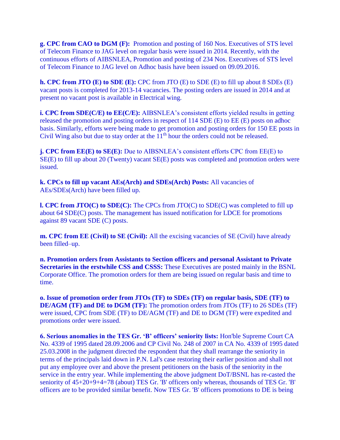**g. CPC from CAO to DGM (F):** Promotion and posting of 160 Nos. Executives of STS level of Telecom Finance to JAG level on regular basis were issued in 2014. Recently, with the continuous efforts of AIBSNLEA, Promotion and posting of 234 Nos. Executives of STS level of Telecom Finance to JAG level on Adhoc basis have been issued on 09.09.2016.

**h. CPC from JTO (E) to SDE (E):** CPC from JTO (E) to SDE (E) to fill up about 8 SDEs (E) vacant posts is completed for 2013-14 vacancies. The posting orders are issued in 2014 and at present no vacant post is available in Electrical wing.

**i. CPC from SDE(C/E) to EE(C/E):** AIBSNLEA's consistent efforts yielded results in getting released the promotion and posting orders in respect of 114 SDE (E) to EE (E) posts on adhoc basis. Similarly, efforts were being made to get promotion and posting orders for 150 EE posts in Civil Wing also but due to stay order at the  $11<sup>th</sup>$  hour the orders could not be released.

**j. CPC from EE(E) to SE(E):** Due to AIBSNLEA's consistent efforts CPC from EE(E) to SE(E) to fill up about 20 (Twenty) vacant SE(E) posts was completed and promotion orders were issued.

**k. CPCs to fill up vacant AEs(Arch) and SDEs(Arch) Posts:** All vacancies of AEs/SDEs(Arch) have been filled up.

**l. CPC from JTO(C) to SDE(C):** The CPCs from JTO(C) to SDE(C) was completed to fill up about 64 SDE(C) posts. The management has issued notification for LDCE for promotions against 89 vacant SDE (C) posts.

**m. CPC from EE (Civil) to SE (Civil):** All the excising vacancies of SE (Civil) have already been filled–up.

**n. Promotion orders from Assistants to Section officers and personal Assistant to Private Secretaries in the erstwhile CSS and CSSS:** These Executives are posted mainly in the BSNL Corporate Office. The promotion orders for them are being issued on regular basis and time to time.

**o. Issue of promotion order from JTOs (TF) to SDEs (TF) on regular basis, SDE (TF) to DE/AGM (TF) and DE to DGM (TF):** The promotion orders from JTOs (TF) to 26 SDEs (TF) were issued, CPC from SDE (TF) to DE/AGM (TF) and DE to DGM (TF) were expedited and promotions order were issued.

**6. Serious anomalies in the TES Gr. 'B' officers' seniority lists:** Hon'ble Supreme Court CA No. 4339 of 1995 dated 28.09.2006 and CP Civil No. 248 of 2007 in CA No. 4339 of 1995 dated 25.03.2008 in the judgment directed the respondent that they shall rearrange the seniority in terms of the principals laid down in P.N. Lal's case restoring their earlier position and shall not put any employee over and above the present petitioners on the basis of the seniority in the service in the entry year. While implementing the above judgment DoT/BSNL has re-casted the seniority of 45+20+9+4=78 (about) TES Gr. 'B' officers only whereas, thousands of TES Gr. 'B' officers are to be provided similar benefit. Now TES Gr. 'B' officers promotions to DE is being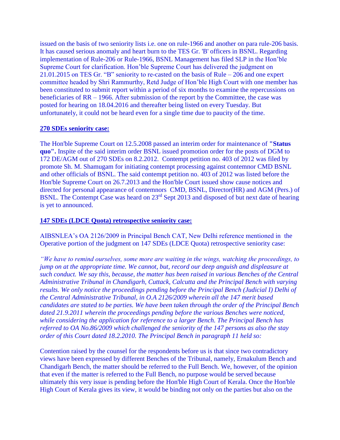issued on the basis of two seniority lists i.e. one on rule-1966 and another on para rule-206 basis. It has caused serious anomaly and heart burn to the TES Gr. 'B' officers in BSNL. Regarding implementation of Rule-206 or Rule-1966, BSNL Management has filed SLP in the Hon'ble Supreme Court for clarification. Hon'ble Supreme Court has delivered the judgment on 21.01.2015 on TES Gr. "B" seniority to re-casted on the basis of Rule – 206 and one expert committee headed by Shri Rammurthy, Retd Judge of Hon'ble High Court with one member has been constituted to submit report within a period of six months to examine the repercussions on beneficiaries of RR – 1966. After submission of the report by the Committee, the case was posted for hearing on 18.04.2016 and thereafter being listed on every Tuesday. But unfortunately, it could not be heard even for a single time due to paucity of the time.

#### **270 SDEs seniority case:**

The Hon'ble Supreme Court on 12.5.2008 passed an interim order for maintenance of **"Status quo".** Inspite of the said interim order BSNL issued promotion order for the posts of DGM to 172 DE/AGM out of 270 SDEs on 8.2.2012. Contempt petition no. 403 of 2012 was filed by promote Sh. M. Shamugam for initiating contempt processing against contemnor CMD BSNL and other officials of BSNL. The said contempt petition no. 403 of 2012 was listed before the Hon'ble Supreme Court on 26.7.2013 and the Hon'ble Court issued show cause notices and directed for personal appearance of contemnors CMD, BSNL, Director(HR) and AGM (Pers.) of BSNL. The Contempt Case was heard on 23<sup>rd</sup> Sept 2013 and disposed of but next date of hearing is yet to announced.

#### **147 SDEs (LDCE Quota) retrospective seniority case:**

AIBSNLEA's OA 2126/2009 in Principal Bench CAT, New Delhi reference mentioned in the Operative portion of the judgment on 147 SDEs (LDCE Quota) retrospective seniority case:

*"We have to remind ourselves, some more are waiting in the wings, watching the proceedings, to jump on at the appropriate time. We cannot, but, record our deep anguish and displeasure at such conduct. We say this, because, the matter has been raised in various Benches of the Central Administrative Tribunal in Chandigarh, Cuttack, Calcutta and the Principal Bench with varying results. We only notice the proceedings pending before the Principal Bench (Judicial I) Delhi of the Central Administrative Tribunal, in O.A 2126/2009 wherein all the 147 merit based candidates are stated to be parties. We have been taken through the order of the Principal Bench dated 21.9.2011 wherein the proceedings pending before the various Benches were noticed, while considering the application for reference to a larger Bench. The Principal Bench has referred to OA No.86/2009 which challenged the seniority of the 147 persons as also the stay order of this Court dated 18.2.2010. The Principal Bench in paragraph 11 held so:*

Contention raised by the counsel for the respondents before us is that since two contradictory views have been expressed by different Benches of the Tribunal, namely, Ernakulum Bench and Chandigarh Bench, the matter should be referred to the Full Bench. We, however, of the opinion that even if the matter is referred to the Full Bench, no purpose would be served because ultimately this very issue is pending before the Hon'ble High Court of Kerala. Once the Hon'ble High Court of Kerala gives its view, it would be binding not only on the parties but also on the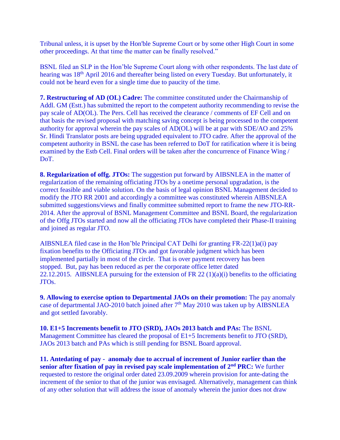Tribunal unless, it is upset by the Hon'ble Supreme Court or by some other High Court in some other proceedings. At that time the matter can be finally resolved."

BSNL filed an SLP in the Hon'ble Supreme Court along with other respondents. The last date of hearing was 18<sup>th</sup> April 2016 and thereafter being listed on every Tuesday. But unfortunately, it could not be heard even for a single time due to paucity of the time.

**7. Restructuring of AD (OL) Cadre:** The committee constituted under the Chairmanship of Addl. GM (Estt.) has submitted the report to the competent authority recommending to revise the pay scale of AD(OL). The Pers. Cell has received the clearance / comments of EF Cell and on that basis the revised proposal with matching saving concept is being processed to the competent authority for approval wherein the pay scales of AD(OL) will be at par with SDE/AO and 25% Sr. Hindi Translator posts are being upgraded equivalent to JTO cadre. After the approval of the competent authority in BSNL the case has been referred to DoT for ratification where it is being examined by the Estb Cell. Final orders will be taken after the concurrence of Finance Wing / DoT.

**8. Regularization of offg. JTOs:** The suggestion put forward by AIBSNLEA in the matter of regularization of the remaining officiating JTOs by a onetime personal upgradation, is the correct feasible and viable solution. On the basis of legal opinion BSNL Management decided to modify the JTO RR 2001 and accordingly a committee was constituted wherein AIBSNLEA submitted suggestions/views and finally committee submitted report to frame the new JTO-RR-2014. After the approval of BSNL Management Committee and BSNL Board, the regularization of the Offg JTOs started and now all the officiating JTOs have completed their Phase-II training and joined as regular JTO.

AIBSNLEA filed case in the Hon'ble Principal CAT Delhi for granting FR-22(1)a(i) pay fixation benefits to the Officiating JTOs and got favorable judgment which has been implemented partially in most of the circle. That is over payment recovery has been stopped. But, pay has been reduced as per the corporate office letter dated 22.12.2015. AIBSNLEA pursuing for the extension of FR 22  $(1)(a)(i)$  benefits to the officiating JTOs.

**9. Allowing to exercise option to Departmental JAOs on their promotion:** The pay anomaly case of departmental JAO-2010 batch joined after  $7<sup>th</sup>$  May 2010 was taken up by AIBSNLEA and got settled favorably.

**10. E1+5 Increments benefit to JTO (SRD), JAOs 2013 batch and PAs:** The BSNL Management Committee has cleared the proposal of E1+5 Increments benefit to JTO (SRD), JAOs 2013 batch and PAs which is still pending for BSNL Board approval.

**11. Antedating of pay - anomaly due to accrual of increment of Junior earlier than the senior after fixation of pay in revised pay scale implementation of 2nd PRC:** We further requested to restore the original order dated 23.09.2009 wherein provision for ante-dating the increment of the senior to that of the junior was envisaged. Alternatively, management can think of any other solution that will address the issue of anomaly wherein the junior does not draw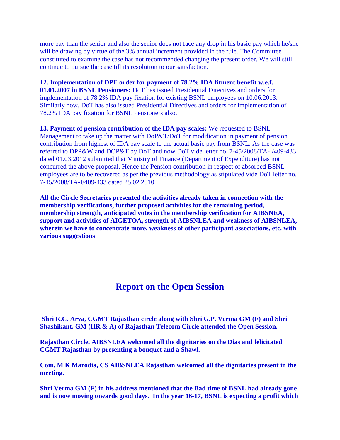more pay than the senior and also the senior does not face any drop in his basic pay which he/she will be drawing by virtue of the 3% annual increment provided in the rule. The Committee constituted to examine the case has not recommended changing the present order. We will still continue to pursue the case till its resolution to our satisfaction.

**12. Implementation of DPE order for payment of 78.2% IDA fitment benefit w.e.f. 01.01.2007 in BSNL Pensioners:** DoT has issued Presidential Directives and orders for implementation of 78.2% IDA pay fixation for existing BSNL employees on 10.06.2013. Similarly now, DoT has also issued Presidential Directives and orders for implementation of 78.2% IDA pay fixation for BSNL Pensioners also.

**13. Payment of pension contribution of the IDA pay scales:** We requested to BSNL Management to take up the matter with DoP&T/DoT for modification in payment of pension contribution from highest of IDA pay scale to the actual basic pay from BSNL. As the case was referred to DPP&W and DOP&T by DoT and now DoT vide letter no. 7-45/2008/TA-I/409-433 dated 01.03.2012 submitted that Ministry of Finance (Department of Expenditure) has not concurred the above proposal. Hence the Pension contribution in respect of absorbed BSNL employees are to be recovered as per the previous methodology as stipulated vide DoT letter no. 7-45/2008/TA-I/409-433 dated 25.02.2010.

**All the Circle Secretaries presented the activities already taken in connection with the membership verifications, further proposed activities for the remaining period, membership strength, anticipated votes in the membership verification for AIBSNEA, support and activities of AIGETOA, strength of AIBSNLEA and weakness of AIBSNLEA, wherein we have to concentrate more, weakness of other participant associations, etc. with various suggestions**

## **Report on the Open Session**

**Shri R.C. Arya, CGMT Rajasthan circle along with Shri G.P. Verma GM (F) and Shri Shashikant, GM (HR & A) of Rajasthan Telecom Circle attended the Open Session.**

**Rajasthan Circle, AIBSNLEA welcomed all the dignitaries on the Dias and felicitated CGMT Rajasthan by presenting a bouquet and a Shawl.**

**Com. M K Marodia, CS AIBSNLEA Rajasthan welcomed all the dignitaries present in the meeting.**

**Shri Verma GM (F) in his address mentioned that the Bad time of BSNL had already gone and is now moving towards good days. In the year 16-17, BSNL is expecting a profit which**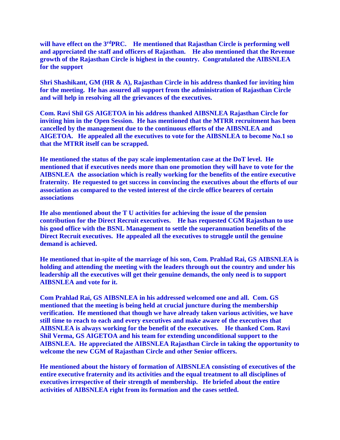**will have effect on the 3rdPRC. He mentioned that Rajasthan Circle is performing well and appreciated the staff and officers of Rajasthan. He also mentioned that the Revenue growth of the Rajasthan Circle is highest in the country. Congratulated the AIBSNLEA for the support**

**Shri Shashikant, GM (HR & A), Rajasthan Circle in his address thanked for inviting him for the meeting. He has assured all support from the administration of Rajasthan Circle and will help in resolving all the grievances of the executives.**

**Com. Ravi Shil GS AIGETOA in his address thanked AIBSNLEA Rajasthan Circle for inviting him in the Open Session. He has mentioned that the MTRR recruitment has been cancelled by the management due to the continuous efforts of the AIBSNLEA and AIGETOA. He appealed all the executives to vote for the AIBSNLEA to become No.1 so that the MTRR itself can be scrapped.**

**He mentioned the status of the pay scale implementation case at the DoT level. He mentioned that if executives needs more than one promotion they will have to vote for the AIBSNLEA the association which is really working for the benefits of the entire executive fraternity. He requested to get success in convincing the executives about the efforts of our association as compared to the vested interest of the circle office bearers of certain associations**

**He also mentioned about the T U activities for achieving the issue of the pension contribution for the Direct Recruit executives. He has requested CGM Rajasthan to use his good office with the BSNL Management to settle the superannuation benefits of the Direct Recruit executives. He appealed all the executives to struggle until the genuine demand is achieved.**

**He mentioned that in-spite of the marriage of his son, Com. Prahlad Rai, GS AIBSNLEA is holding and attending the meeting with the leaders through out the country and under his leadership all the executives will get their genuine demands, the only need is to support AIBSNLEA and vote for it.**

**Com Prahlad Rai, GS AIBSNLEA in his addressed welcomed one and all. Com. GS mentioned that the meeting is being held at crucial juncture during the membership verification. He mentioned that though we have already taken various activities, we have still time to reach to each and every executives and make aware of the executives that AIBSNLEA is always working for the benefit of the executives. He thanked Com. Ravi Shil Verma, GS AIGETOA and his team for extending unconditional support to the AIBSNLEA. He appreciated the AIBSNLEA Rajasthan Circle in taking the opportunity to welcome the new CGM of Rajasthan Circle and other Senior officers.**

**He mentioned about the history of formation of AIBSNLEA consisting of executives of the entire executive fraternity and its activities and the equal treatment to all disciplines of executives irrespective of their strength of membership. He briefed about the entire activities of AIBSNLEA right from its formation and the cases settled.**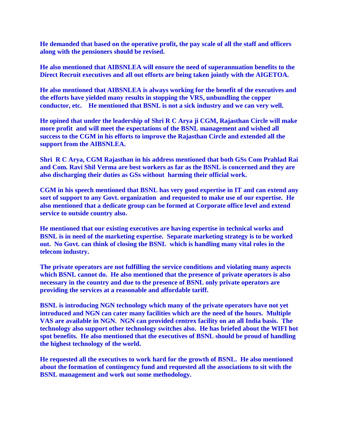**He demanded that based on the operative profit, the pay scale of all the staff and officers along with the pensioners should be revised.**

**He also mentioned that AIBSNLEA will ensure the need of superannuation benefits to the Direct Recruit executives and all out efforts are being taken jointly with the AIGETOA.**

**He also mentioned that AIBSNLEA is always working for the benefit of the executives and the efforts have yielded many results in stopping the VRS, unbundling the copper conductor, etc. He mentioned that BSNL is not a sick industry and we can very well.**

**He opined that under the leadership of Shri R C Arya ji CGM, Rajasthan Circle will make more profit and will meet the expectations of the BSNL management and wished all success to the CGM in his efforts to improve the Rajasthan Circle and extended all the support from the AIBSNLEA.**

**Shri R C Arya, CGM Rajasthan in his address mentioned that both GSs Com Prahlad Rai and Com. Ravi Shil Verma are best workers as far as the BSNL is concerned and they are also discharging their duties as GSs without harming their official work.**

**CGM in his speech mentioned that BSNL has very good expertise in IT and can extend any sort of support to any Govt. organization and requested to make use of our expertise. He also mentioned that a dedicate group can be formed at Corporate office level and extend service to outside country also.**

**He mentioned that our existing executives are having expertise in technical works and BSNL is in need of the marketing expertise. Separate marketing strategy is to be worked out. No Govt. can think of closing the BSNL which is handling many vital roles in the telecom industry.**

**The private operators are not fulfilling the service conditions and violating many aspects which BSNL cannot do. He also mentioned that the presence of private operators is also necessary in the country and due to the presence of BSNL only private operators are providing the services at a reasonable and affordable tariff.**

**BSNL is introducing NGN technology which many of the private operators have not yet introduced and NGN can cater many facilities which are the need of the hours. Multiple VAS are available in NGN. NGN can provided centrex facility on an all India basis. The technology also support other technology switches also. He has briefed about the WIFI hot spot benefits. He also mentioned that the executives of BSNL should be proud of handling the highest technology of the world.**

**He requested all the executives to work hard for the growth of BSNL. He also mentioned about the formation of contingency fund and requested all the associations to sit with the BSNL management and work out some methodology.**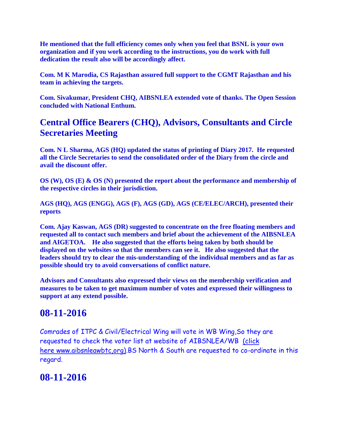**He mentioned that the full efficiency comes only when you feel that BSNL is your own organization and if you work according to the instructions, you do work with full dedication the result also will be accordingly affect.**

**Com. M K Marodia, CS Rajasthan assured full support to the CGMT Rajasthan and his team in achieving the targets.**

**Com. Sivakumar, President CHQ, AIBSNLEA extended vote of thanks. The Open Session concluded with National Enthum.**

# **Central Office Bearers (CHQ), Advisors, Consultants and Circle Secretaries Meeting**

**Com. N L Sharma, AGS (HQ) updated the status of printing of Diary 2017. He requested all the Circle Secretaries to send the consolidated order of the Diary from the circle and avail the discount offer.**

**OS (W), OS (E) & OS (N) presented the report about the performance and membership of the respective circles in their jurisdiction.**

**AGS (HQ), AGS (ENGG), AGS (F), AGS (GD), AGS (CE/ELEC/ARCH), presented their reports**

**Com. Ajay Kaswan, AGS (DR) suggested to concentrate on the free floating members and requested all to contact such members and brief about the achievement of the AIBSNLEA and AIGETOA. He also suggested that the efforts being taken by both should be displayed on the websites so that the members can see it. He also suggested that the leaders should try to clear the mis-understanding of the individual members and as far as possible should try to avoid conversations of conflict nature.**

**Advisors and Consultants also expressed their views on the membership verification and measures to be taken to get maximum number of votes and expressed their willingness to support at any extend possible.**

# **08-11-2016**

Comrades of ITPC & Civil/Electrical Wing will vote in WB Wing,So they are requested to check the voter list at website of AIBSNLEA/WB [\(click](http://aibsnleawbtc.org/)  here [www.aibsnleawbtc,org\).](http://aibsnleawbtc.org/)BS North & South are requested to co-ordinate in this regard.

# **08-11-2016**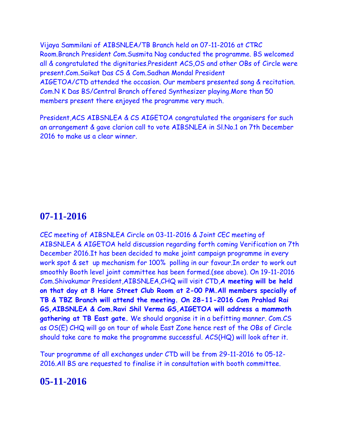Vijaya Sammilani of AIBSNLEA/TB Branch held on 07-11-2016 at CTRC Room.Branch President Com.Susmita Nag conducted the programme. BS welcomed all & congratulated the dignitaries.President ACS,OS and other OBs of Circle were present.Com.Saikat Das CS & Com.Sadhan Mondal President AIGETOA/CTD attended the occasion. Our members presented song & recitation. Com.N K Das BS/Central Branch offered Synthesizer playing.More than 50 members present there enjoyed the programme very much.

President,ACS AIBSNLEA & CS AIGETOA congratulated the organisers for such an arrangement & gave clarion call to vote AIBSNLEA in Sl.No.1 on 7th December 2016 to make us a clear winner.

## **07-11-2016**

CEC meeting of AIBSNLEA Circle on 03-11-2016 & Joint CEC meeting of AIBSNLEA & AIGETOA held discussion regarding forth coming Verification on 7th December 2016.It has been decided to make joint campaign programme in every work spot & set up mechanism for 100% polling in our favour.In order to work out smoothly Booth level joint committee has been formed.(see above). On 19-11-2016 Com.Shivakumar President,AIBSNLEA,CHQ will visit CTD,**A meeting will be held on that day at 8 Hare Street Club Room at 2-00 PM.All members specially of TB & TBZ Branch will attend the meeting. On 28-11-2016 Com Prahlad Rai GS,AIBSNLEA & Com.Ravi Shil Verma GS,AIGETOA will address a mammoth gathering at TB East gate.** We should organise it in a befitting manner. Com.CS as OS(E) CHQ will go on tour of whole East Zone hence rest of the OBs of Circle should take care to make the programme successful. ACS(HQ) will look after it.

Tour programme of all exchanges under CTD will be from 29-11-2016 to 05-12- 2016.All BS are requested to finalise it in consultation with booth committee.

### **05-11-2016**